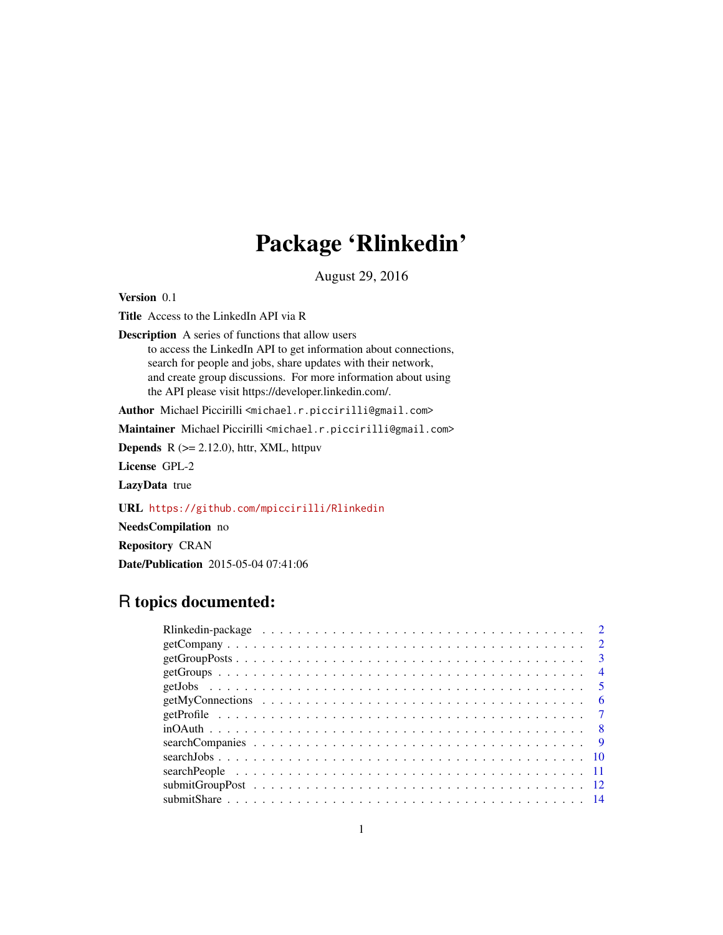# Package 'Rlinkedin'

August 29, 2016

Version 0.1

Title Access to the LinkedIn API via R

Description A series of functions that allow users to access the LinkedIn API to get information about connections, search for people and jobs, share updates with their network, and create group discussions. For more information about using the API please visit https://developer.linkedin.com/.

Author Michael Piccirilli <michael.r.piccirilli@gmail.com>

Maintainer Michael Piccirilli <michael.r.piccirilli@gmail.com>

**Depends**  $R$  ( $>= 2.12.0$ ), httr, XML, httpuv

License GPL-2

LazyData true

URL <https://github.com/mpiccirilli/Rlinkedin>

NeedsCompilation no

Repository CRAN

Date/Publication 2015-05-04 07:41:06

# R topics documented:

|  |  |  |  |  |  |  |  |  |  |  |  |  |  |  |  |  |  | $\overline{3}$ |
|--|--|--|--|--|--|--|--|--|--|--|--|--|--|--|--|--|--|----------------|
|  |  |  |  |  |  |  |  |  |  |  |  |  |  |  |  |  |  | $\overline{4}$ |
|  |  |  |  |  |  |  |  |  |  |  |  |  |  |  |  |  |  | $\sqrt{5}$     |
|  |  |  |  |  |  |  |  |  |  |  |  |  |  |  |  |  |  | - 6            |
|  |  |  |  |  |  |  |  |  |  |  |  |  |  |  |  |  |  |                |
|  |  |  |  |  |  |  |  |  |  |  |  |  |  |  |  |  |  |                |
|  |  |  |  |  |  |  |  |  |  |  |  |  |  |  |  |  |  |                |
|  |  |  |  |  |  |  |  |  |  |  |  |  |  |  |  |  |  |                |
|  |  |  |  |  |  |  |  |  |  |  |  |  |  |  |  |  |  |                |
|  |  |  |  |  |  |  |  |  |  |  |  |  |  |  |  |  |  |                |
|  |  |  |  |  |  |  |  |  |  |  |  |  |  |  |  |  |  |                |
|  |  |  |  |  |  |  |  |  |  |  |  |  |  |  |  |  |  |                |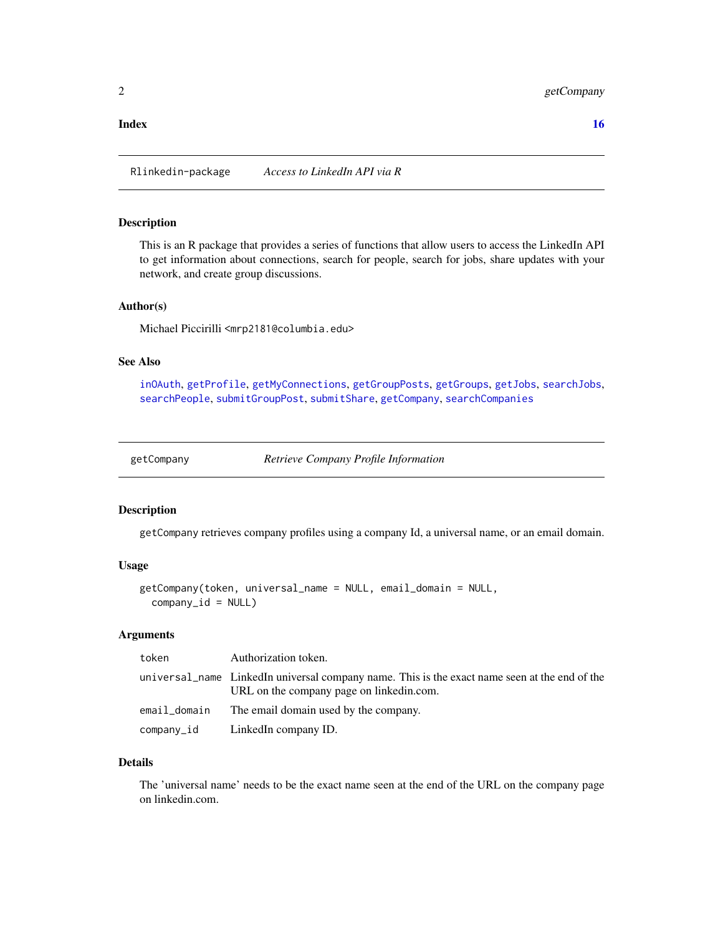#### <span id="page-1-0"></span>**Index** and the contract of the contract of the contract of the contract of the contract of the contract of the contract of the contract of the contract of the contract of the contract of the contract of the contract of th

Rlinkedin-package *Access to LinkedIn API via R*

#### Description

This is an R package that provides a series of functions that allow users to access the LinkedIn API to get information about connections, search for people, search for jobs, share updates with your network, and create group discussions.

# Author(s)

Michael Piccirilli <mrp2181@columbia.edu>

#### See Also

[inOAuth](#page-7-1), [getProfile](#page-6-1), [getMyConnections](#page-5-1), [getGroupPosts](#page-2-1), [getGroups](#page-3-1), [getJobs](#page-4-1), [searchJobs](#page-9-1), [searchPeople](#page-10-1), [submitGroupPost](#page-11-1), [submitShare](#page-13-1), [getCompany](#page-1-1), [searchCompanies](#page-8-1)

<span id="page-1-1"></span>getCompany *Retrieve Company Profile Information*

#### Description

getCompany retrieves company profiles using a company Id, a universal name, or an email domain.

# Usage

```
getCompany(token, universal_name = NULL, email_domain = NULL,
  company_id = NULL
```
#### Arguments

| token | Authorization token.                                                                                                                      |
|-------|-------------------------------------------------------------------------------------------------------------------------------------------|
|       | universal name LinkedIn universal company name. This is the exact name seen at the end of the<br>URL on the company page on linkedin.com. |
|       | email_domain The email domain used by the company.                                                                                        |
|       | company_id LinkedIn company ID.                                                                                                           |

#### Details

The 'universal name' needs to be the exact name seen at the end of the URL on the company page on linkedin.com.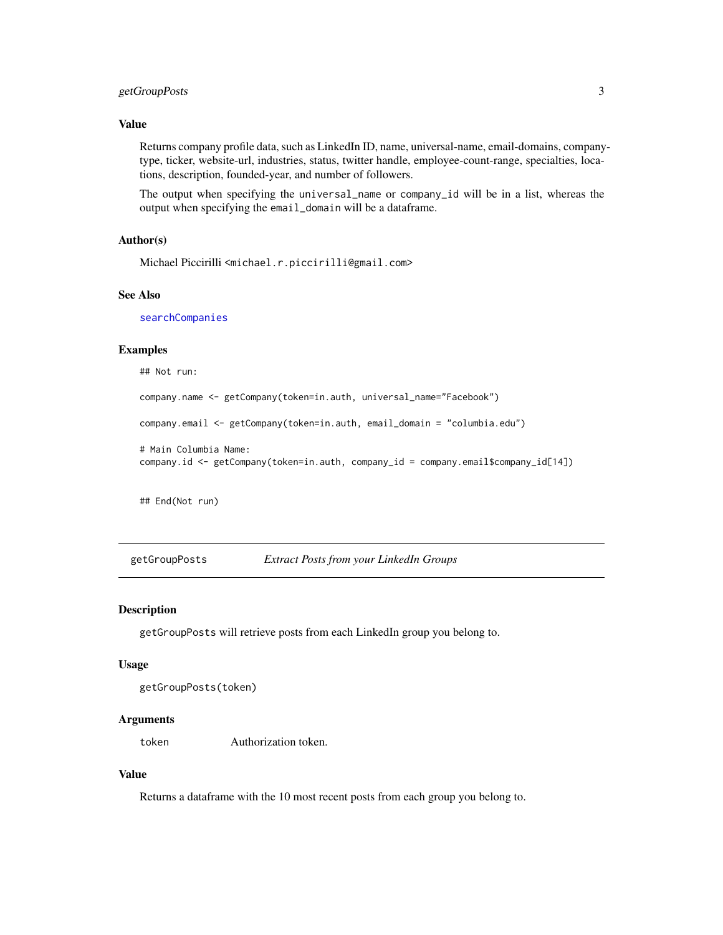# <span id="page-2-0"></span>getGroupPosts 3

#### Value

Returns company profile data, such as LinkedIn ID, name, universal-name, email-domains, companytype, ticker, website-url, industries, status, twitter handle, employee-count-range, specialties, locations, description, founded-year, and number of followers.

The output when specifying the universal\_name or company\_id will be in a list, whereas the output when specifying the email\_domain will be a dataframe.

# Author(s)

Michael Piccirilli <michael.r.piccirilli@gmail.com>

#### See Also

[searchCompanies](#page-8-1)

#### Examples

## Not run:

```
company.name <- getCompany(token=in.auth, universal_name="Facebook")
```

```
company.email <- getCompany(token=in.auth, email_domain = "columbia.edu")
```

```
# Main Columbia Name:
company.id <- getCompany(token=in.auth, company_id = company.email$company_id[14])
```
## End(Not run)

<span id="page-2-1"></span>getGroupPosts *Extract Posts from your LinkedIn Groups*

#### Description

getGroupPosts will retrieve posts from each LinkedIn group you belong to.

#### Usage

```
getGroupPosts(token)
```
#### Arguments

token Authorization token.

# Value

Returns a dataframe with the 10 most recent posts from each group you belong to.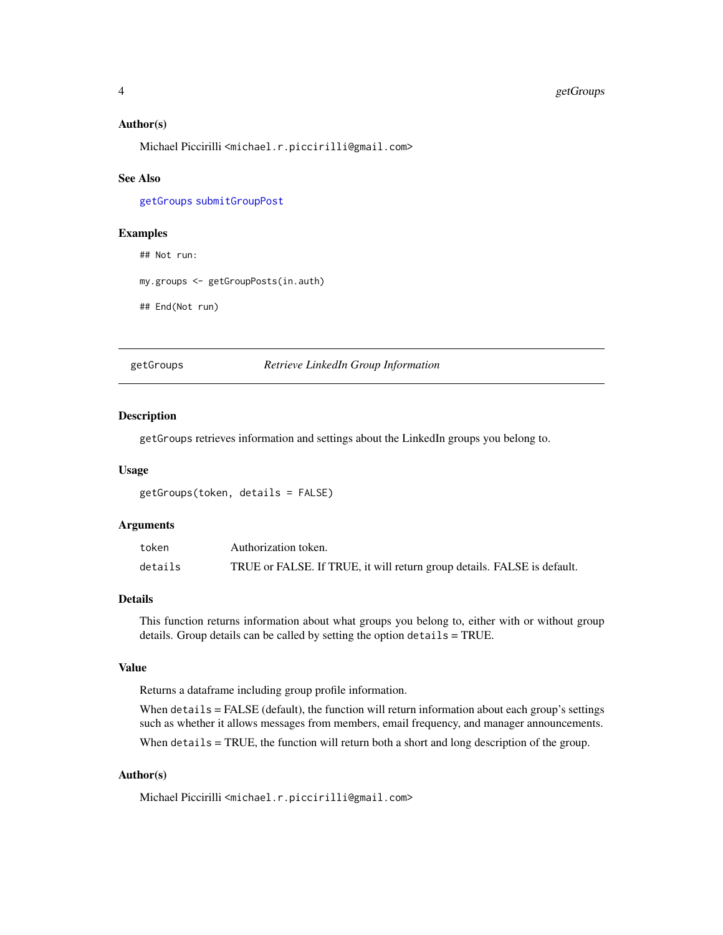# <span id="page-3-0"></span>4 getGroups

#### Author(s)

Michael Piccirilli <michael.r.piccirilli@gmail.com>

#### See Also

[getGroups](#page-3-1) [submitGroupPost](#page-11-1)

# Examples

## Not run:

my.groups <- getGroupPosts(in.auth)

## End(Not run)

<span id="page-3-1"></span>getGroups *Retrieve LinkedIn Group Information*

# Description

getGroups retrieves information and settings about the LinkedIn groups you belong to.

#### Usage

getGroups(token, details = FALSE)

# Arguments

| token   | Authorization token.                                                    |
|---------|-------------------------------------------------------------------------|
| details | TRUE or FALSE. If TRUE, it will return group details. FALSE is default. |

### Details

This function returns information about what groups you belong to, either with or without group details. Group details can be called by setting the option details = TRUE.

#### Value

Returns a dataframe including group profile information.

When details = FALSE (default), the function will return information about each group's settings such as whether it allows messages from members, email frequency, and manager announcements.

When details = TRUE, the function will return both a short and long description of the group.

# Author(s)

Michael Piccirilli <michael.r.piccirilli@gmail.com>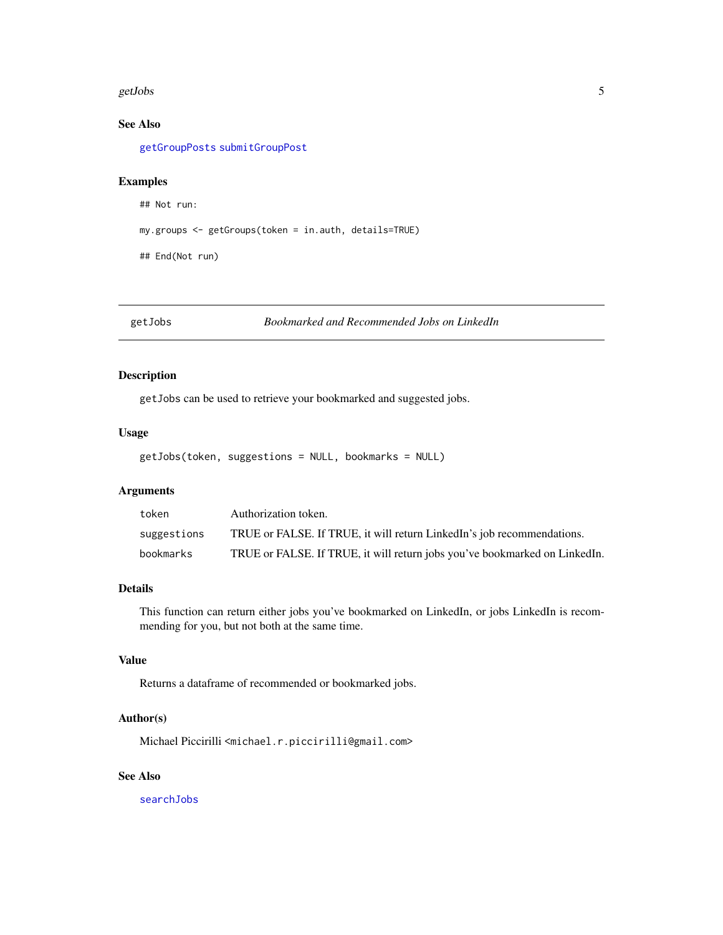#### <span id="page-4-0"></span>getJobs 5

# See Also

[getGroupPosts](#page-2-1) [submitGroupPost](#page-11-1)

# Examples

```
## Not run:
```
my.groups <- getGroups(token = in.auth, details=TRUE)

## End(Not run)

<span id="page-4-1"></span>getJobs *Bookmarked and Recommended Jobs on LinkedIn*

# Description

getJobs can be used to retrieve your bookmarked and suggested jobs.

# Usage

getJobs(token, suggestions = NULL, bookmarks = NULL)

# Arguments

| token       | Authorization token.                                                       |
|-------------|----------------------------------------------------------------------------|
| suggestions | TRUE or FALSE. If TRUE, it will return LinkedIn's job recommendations.     |
| bookmarks   | TRUE or FALSE. If TRUE, it will return jobs you've bookmarked on LinkedIn. |

#### Details

This function can return either jobs you've bookmarked on LinkedIn, or jobs LinkedIn is recommending for you, but not both at the same time.

#### Value

Returns a dataframe of recommended or bookmarked jobs.

# Author(s)

Michael Piccirilli <michael.r.piccirilli@gmail.com>

### See Also

[searchJobs](#page-9-1)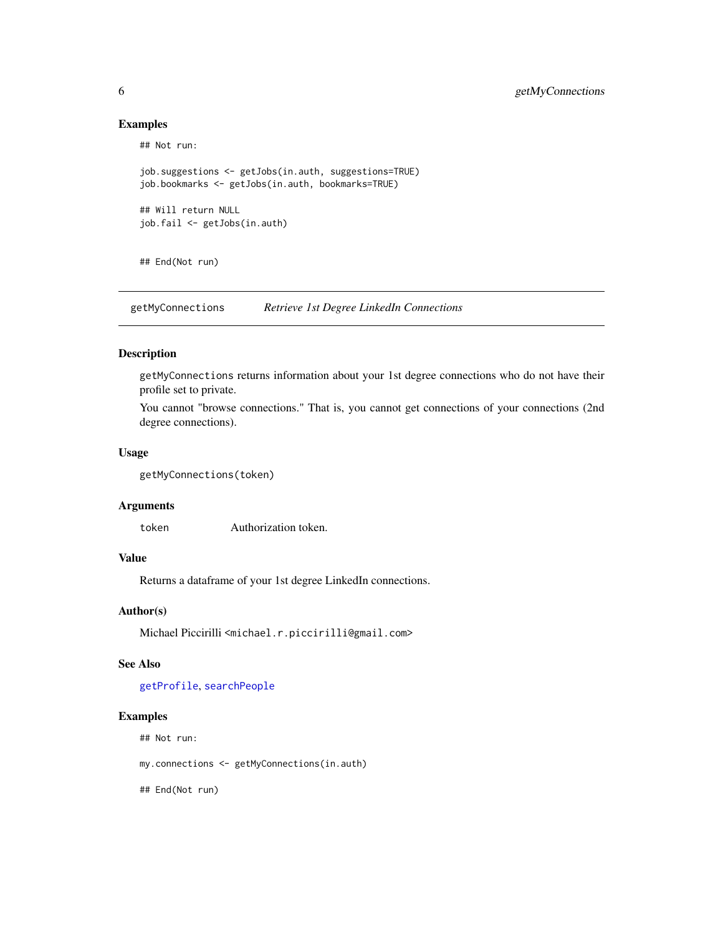# Examples

```
## Not run:
job.suggestions <- getJobs(in.auth, suggestions=TRUE)
job.bookmarks <- getJobs(in.auth, bookmarks=TRUE)
## Will return NULL
job.fail <- getJobs(in.auth)
```
## End(Not run)

<span id="page-5-1"></span>getMyConnections *Retrieve 1st Degree LinkedIn Connections*

#### Description

getMyConnections returns information about your 1st degree connections who do not have their profile set to private.

You cannot "browse connections." That is, you cannot get connections of your connections (2nd degree connections).

#### Usage

```
getMyConnections(token)
```
#### Arguments

token Authorization token.

# Value

Returns a dataframe of your 1st degree LinkedIn connections.

# Author(s)

Michael Piccirilli <michael.r.piccirilli@gmail.com>

#### See Also

[getProfile](#page-6-1), [searchPeople](#page-10-1)

#### Examples

## Not run:

my.connections <- getMyConnections(in.auth)

<span id="page-5-0"></span>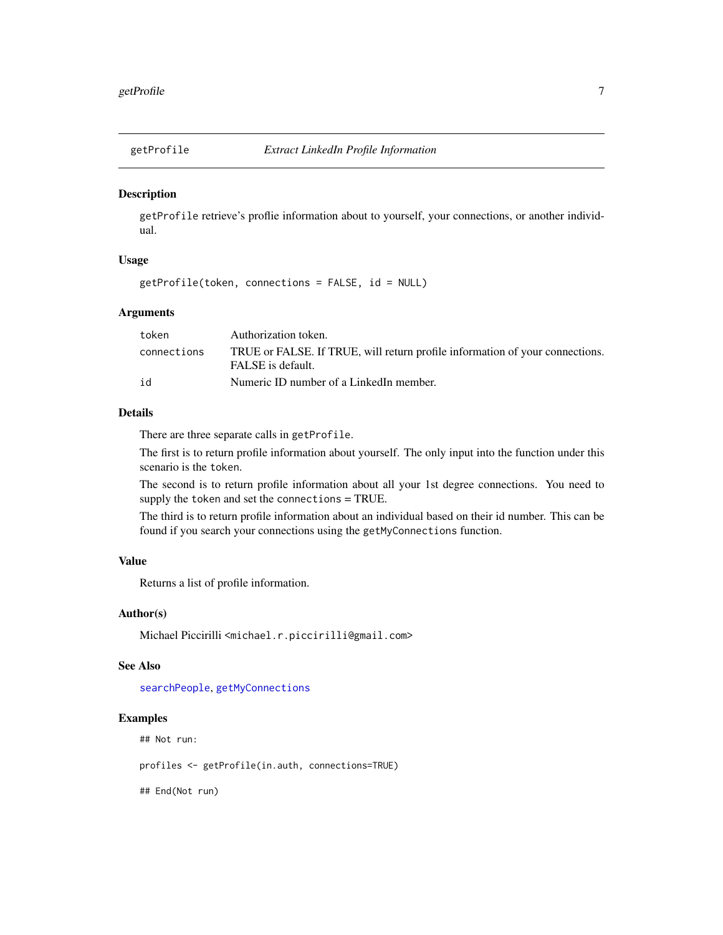<span id="page-6-1"></span><span id="page-6-0"></span>

# Description

getProfile retrieve's proflie information about to yourself, your connections, or another individual.

# Usage

```
getProfile(token, connections = FALSE, id = NULL)
```
# Arguments

| token       | Authorization token.                                                                              |
|-------------|---------------------------------------------------------------------------------------------------|
| connections | TRUE or FALSE. If TRUE, will return profile information of your connections.<br>FALSE is default. |
| id          | Numeric ID number of a LinkedIn member.                                                           |

# Details

There are three separate calls in getProfile.

The first is to return profile information about yourself. The only input into the function under this scenario is the token.

The second is to return profile information about all your 1st degree connections. You need to supply the token and set the connections = TRUE.

The third is to return profile information about an individual based on their id number. This can be found if you search your connections using the getMyConnections function.

#### Value

Returns a list of profile information.

#### Author(s)

Michael Piccirilli <michael.r.piccirilli@gmail.com>

#### See Also

[searchPeople](#page-10-1), [getMyConnections](#page-5-1)

#### Examples

## Not run:

profiles <- getProfile(in.auth, connections=TRUE)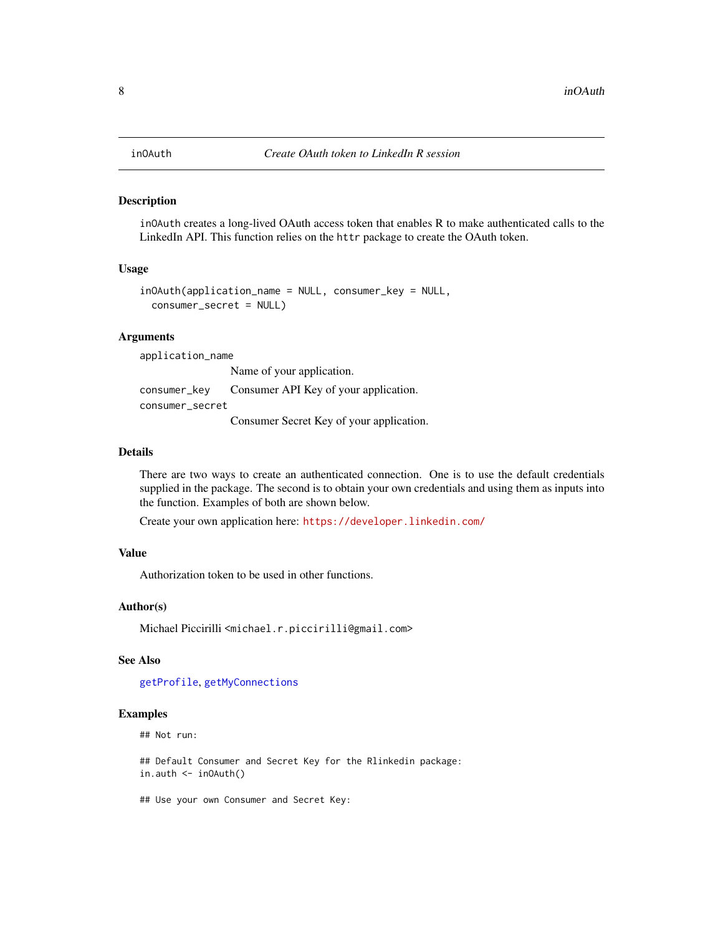### Description

inOAuth creates a long-lived OAuth access token that enables R to make authenticated calls to the LinkedIn API. This function relies on the httr package to create the OAuth token.

#### Usage

```
inOAuth(application_name = NULL, consumer_key = NULL,
  consumer_secret = NULL)
```
#### Arguments

application\_name

Name of your application.

consumer\_key Consumer API Key of your application. consumer\_secret

Consumer Secret Key of your application.

#### Details

There are two ways to create an authenticated connection. One is to use the default credentials supplied in the package. The second is to obtain your own credentials and using them as inputs into the function. Examples of both are shown below.

Create your own application here: <https://developer.linkedin.com/>

# Value

Authorization token to be used in other functions.

#### Author(s)

Michael Piccirilli <michael.r.piccirilli@gmail.com>

#### See Also

[getProfile](#page-6-1), [getMyConnections](#page-5-1)

#### Examples

## Not run:

## Default Consumer and Secret Key for the Rlinkedin package: in.auth <- inOAuth()

## Use your own Consumer and Secret Key: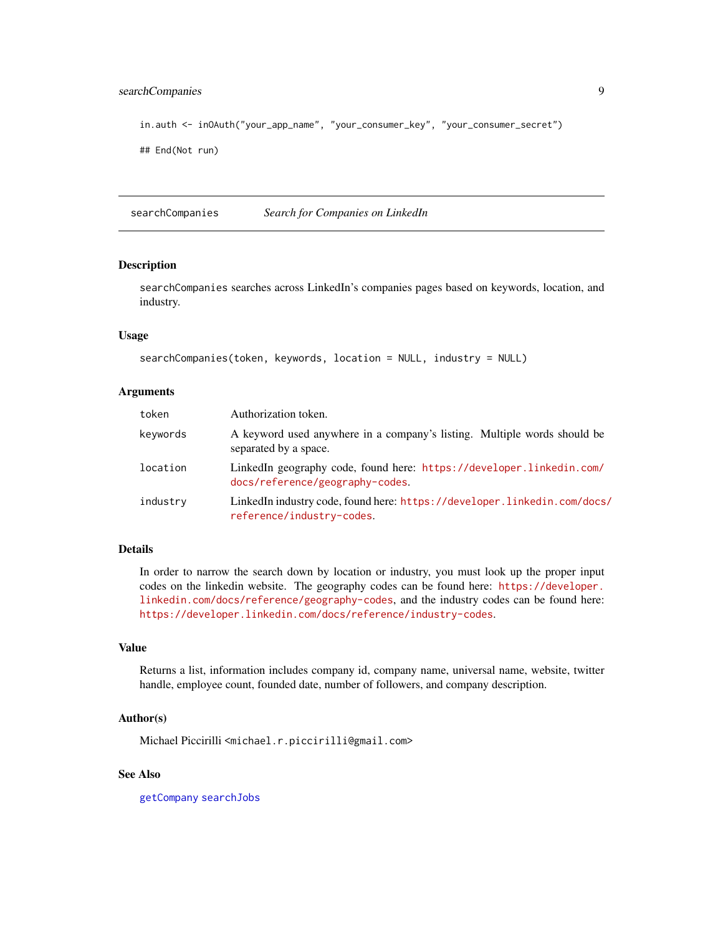# <span id="page-8-0"></span>searchCompanies 9

```
in.auth <- inOAuth("your_app_name", "your_consumer_key", "your_consumer_secret")
```

```
## End(Not run)
```
<span id="page-8-1"></span>searchCompanies *Search for Companies on LinkedIn*

# Description

searchCompanies searches across LinkedIn's companies pages based on keywords, location, and industry.

### Usage

```
searchCompanies(token, keywords, location = NULL, industry = NULL)
```
#### Arguments

| token    | Authorization token.                                                                                    |
|----------|---------------------------------------------------------------------------------------------------------|
| keywords | A keyword used anywhere in a company's listing. Multiple words should be<br>separated by a space.       |
| location | LinkedIn geography code, found here: https://developer.linkedin.com/<br>docs/reference/geography-codes. |
| industry | LinkedIn industry code, found here: https://developer.linkedin.com/docs/<br>reference/industry-codes.   |

# Details

In order to narrow the search down by location or industry, you must look up the proper input codes on the linkedin website. The geography codes can be found here: [https://developer.](https://developer.linkedin.com/docs/reference/geography-codes) [linkedin.com/docs/reference/geography-codes](https://developer.linkedin.com/docs/reference/geography-codes), and the industry codes can be found here: <https://developer.linkedin.com/docs/reference/industry-codes>.

#### Value

Returns a list, information includes company id, company name, universal name, website, twitter handle, employee count, founded date, number of followers, and company description.

#### Author(s)

Michael Piccirilli <michael.r.piccirilli@gmail.com>

# See Also

[getCompany](#page-1-1) [searchJobs](#page-9-1)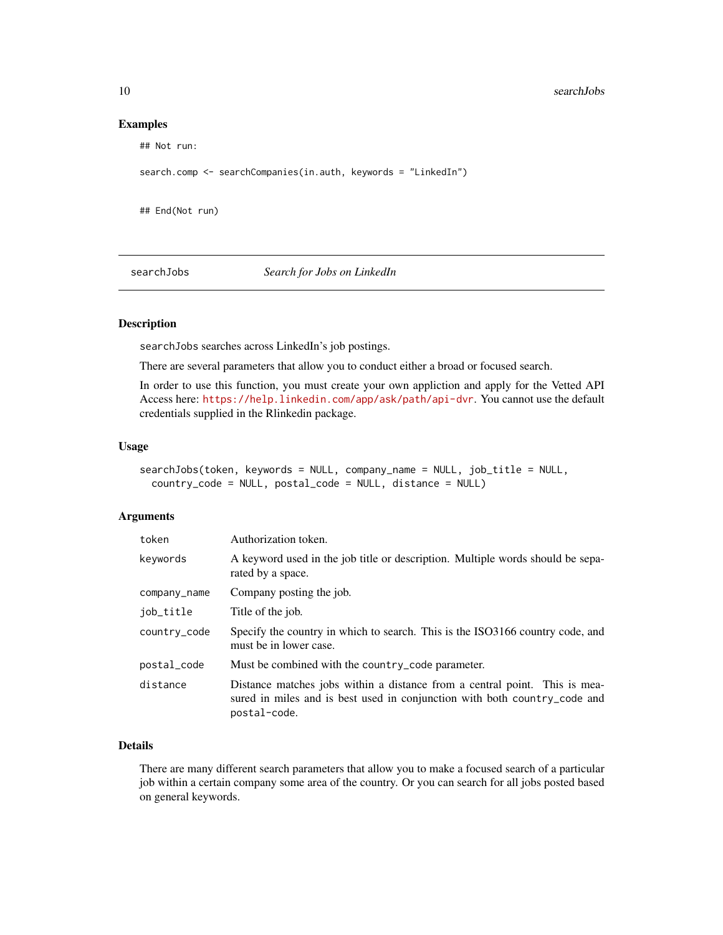#### Examples

```
## Not run:
search.comp <- searchCompanies(in.auth, keywords = "LinkedIn")
## End(Not run)
```
<span id="page-9-1"></span>searchJobs *Search for Jobs on LinkedIn*

# Description

searchJobs searches across LinkedIn's job postings.

There are several parameters that allow you to conduct either a broad or focused search.

In order to use this function, you must create your own appliction and apply for the Vetted API Access here: <https://help.linkedin.com/app/ask/path/api-dvr>. You cannot use the default credentials supplied in the Rlinkedin package.

# Usage

```
searchJobs(token, keywords = NULL, company_name = NULL, job_title = NULL,
 country_code = NULL, postal_code = NULL, distance = NULL)
```
#### Arguments

| token        | Authorization token.                                                                                                                                                    |
|--------------|-------------------------------------------------------------------------------------------------------------------------------------------------------------------------|
| keywords     | A keyword used in the job title or description. Multiple words should be sepa-<br>rated by a space.                                                                     |
| company_name | Company posting the job.                                                                                                                                                |
| job_title    | Title of the job.                                                                                                                                                       |
| country_code | Specify the country in which to search. This is the ISO3166 country code, and<br>must be in lower case.                                                                 |
| postal_code  | Must be combined with the country_code parameter.                                                                                                                       |
| distance     | Distance matches jobs within a distance from a central point. This is mea-<br>sured in miles and is best used in conjunction with both country_code and<br>postal-code. |

# Details

There are many different search parameters that allow you to make a focused search of a particular job within a certain company some area of the country. Or you can search for all jobs posted based on general keywords.

<span id="page-9-0"></span>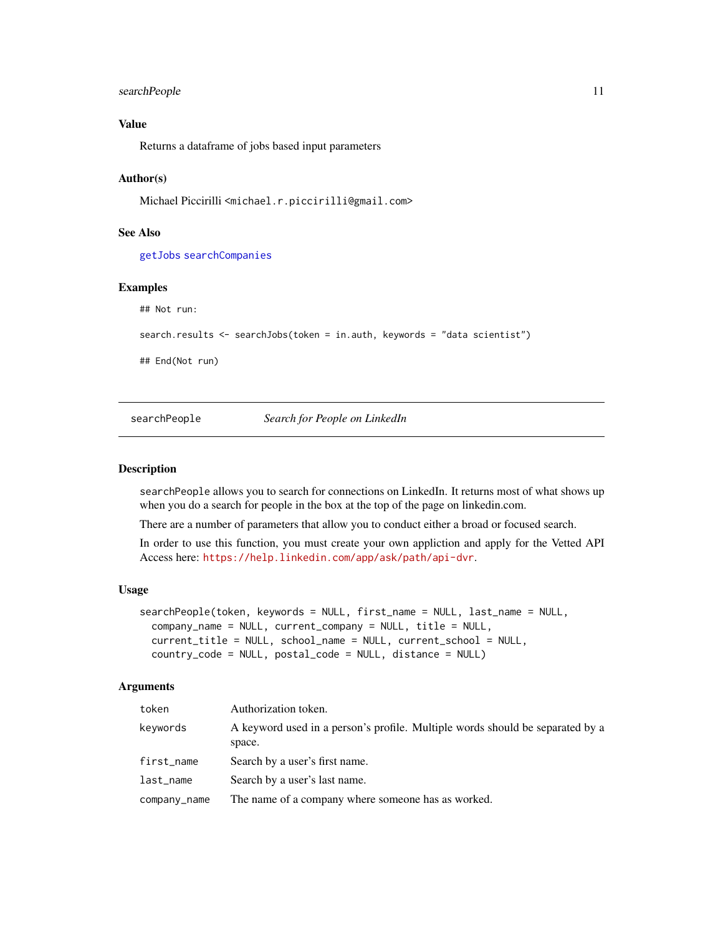### <span id="page-10-0"></span>searchPeople 11

# Value

Returns a dataframe of jobs based input parameters

#### Author(s)

Michael Piccirilli <michael.r.piccirilli@gmail.com>

# See Also

[getJobs](#page-4-1) [searchCompanies](#page-8-1)

# Examples

## Not run:

```
search.results <- searchJobs(token = in.auth, keywords = "data scientist")
```
## End(Not run)

<span id="page-10-1"></span>searchPeople *Search for People on LinkedIn*

### Description

searchPeople allows you to search for connections on LinkedIn. It returns most of what shows up when you do a search for people in the box at the top of the page on linkedin.com.

There are a number of parameters that allow you to conduct either a broad or focused search.

In order to use this function, you must create your own appliction and apply for the Vetted API Access here: <https://help.linkedin.com/app/ask/path/api-dvr>.

#### Usage

```
searchPeople(token, keywords = NULL, first_name = NULL, last_name = NULL,
 company_name = NULL, current_company = NULL, title = NULL,
 current_title = NULL, school_name = NULL, current_school = NULL,
  country_code = NULL, postal_code = NULL, distance = NULL)
```
#### Arguments

| token        | Authorization token.                                                                    |
|--------------|-----------------------------------------------------------------------------------------|
| kevwords     | A keyword used in a person's profile. Multiple words should be separated by a<br>space. |
| first_name   | Search by a user's first name.                                                          |
| last_name    | Search by a user's last name.                                                           |
| company_name | The name of a company where someone has as worked.                                      |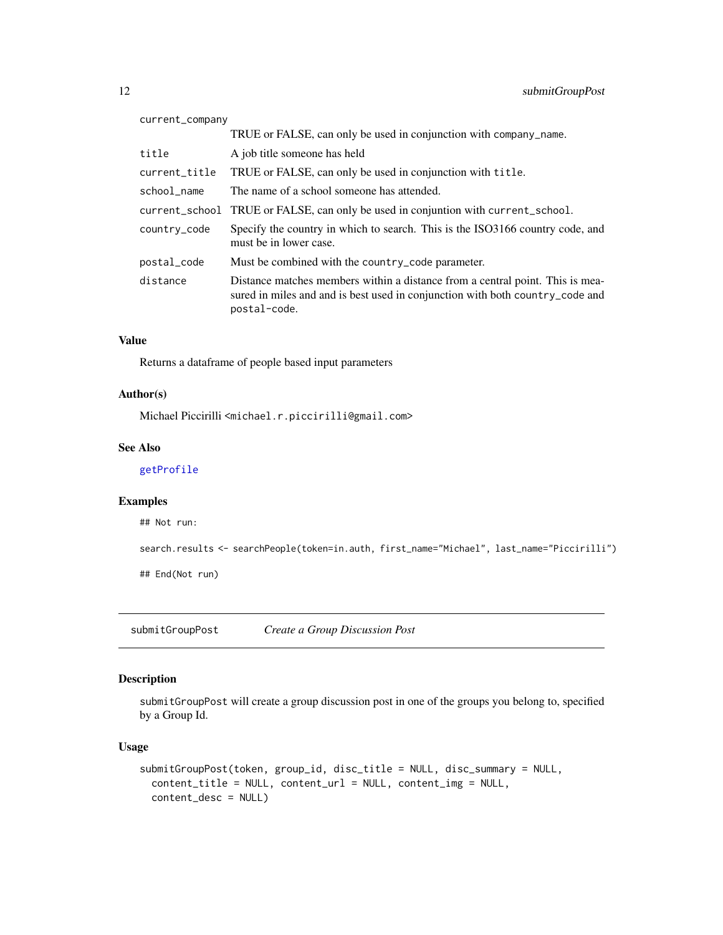<span id="page-11-0"></span>

| current_company |                                                                                                                                                                                |
|-----------------|--------------------------------------------------------------------------------------------------------------------------------------------------------------------------------|
|                 | TRUE or FALSE, can only be used in conjunction with company_name.                                                                                                              |
| title           | A job title someone has held                                                                                                                                                   |
| current_title   | TRUE or FALSE, can only be used in conjunction with title.                                                                                                                     |
| school_name     | The name of a school someone has attended.                                                                                                                                     |
|                 | current_school TRUE or FALSE, can only be used in conjuntion with current_school.                                                                                              |
| country_code    | Specify the country in which to search. This is the ISO3166 country code, and<br>must be in lower case.                                                                        |
| postal_code     | Must be combined with the country_code parameter.                                                                                                                              |
| distance        | Distance matches members within a distance from a central point. This is mea-<br>sured in miles and and is best used in conjunction with both country_code and<br>postal-code. |

# Value

Returns a dataframe of people based input parameters

#### Author(s)

Michael Piccirilli <michael.r.piccirilli@gmail.com>

# See Also

[getProfile](#page-6-1)

# Examples

## Not run:

search.results <- searchPeople(token=in.auth, first\_name="Michael", last\_name="Piccirilli")

## End(Not run)

<span id="page-11-1"></span>submitGroupPost *Create a Group Discussion Post*

# Description

submitGroupPost will create a group discussion post in one of the groups you belong to, specified by a Group Id.

# Usage

```
submitGroupPost(token, group_id, disc_title = NULL, disc_summary = NULL,
 content_title = NULL, content_url = NULL, content_img = NULL,
 content_desc = NULL)
```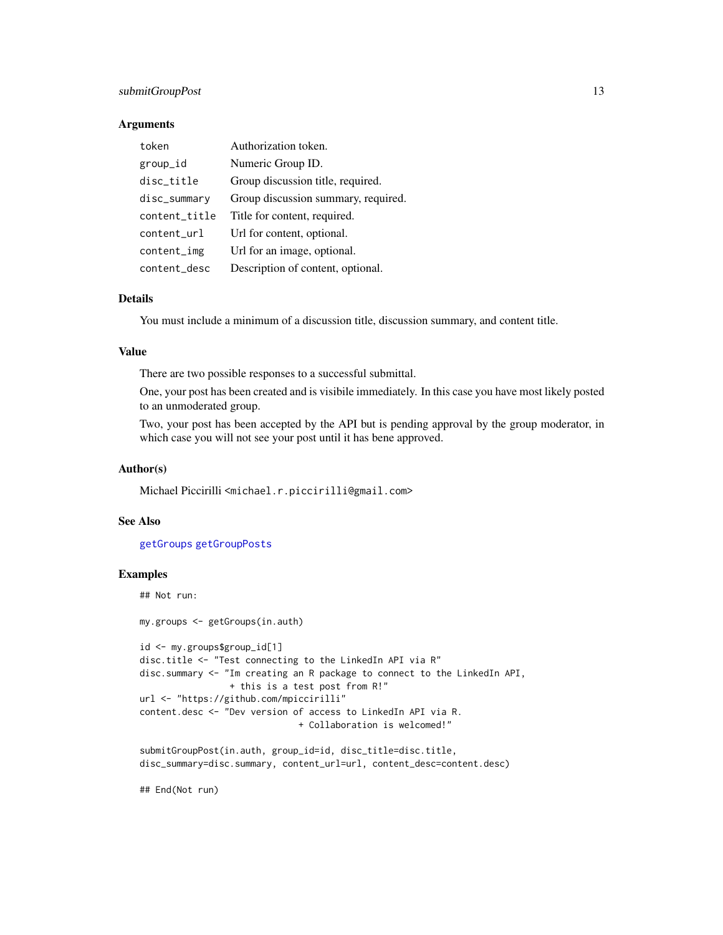# <span id="page-12-0"></span>submitGroupPost 13

#### Arguments

| token         | Authorization token.                |
|---------------|-------------------------------------|
| group_id      | Numeric Group ID.                   |
| disc_title    | Group discussion title, required.   |
| disc_summary  | Group discussion summary, required. |
| content_title | Title for content, required.        |
| content_url   | Url for content, optional.          |
| content_img   | Url for an image, optional.         |
| content_desc  | Description of content, optional.   |

# Details

You must include a minimum of a discussion title, discussion summary, and content title.

#### Value

There are two possible responses to a successful submittal.

One, your post has been created and is visibile immediately. In this case you have most likely posted to an unmoderated group.

Two, your post has been accepted by the API but is pending approval by the group moderator, in which case you will not see your post until it has bene approved.

#### Author(s)

Michael Piccirilli <michael.r.piccirilli@gmail.com>

# See Also

[getGroups](#page-3-1) [getGroupPosts](#page-2-1)

#### Examples

## Not run:

```
my.groups <- getGroups(in.auth)
id <- my.groups$group_id[1]
disc.title <- "Test connecting to the LinkedIn API via R"
disc.summary <- "Im creating an R package to connect to the LinkedIn API,
                + this is a test post from R!"
url <- "https://github.com/mpiccirilli"
content.desc <- "Dev version of access to LinkedIn API via R.
                              + Collaboration is welcomed!"
submitGroupPost(in.auth, group_id=id, disc_title=disc.title,
disc_summary=disc.summary, content_url=url, content_desc=content.desc)
```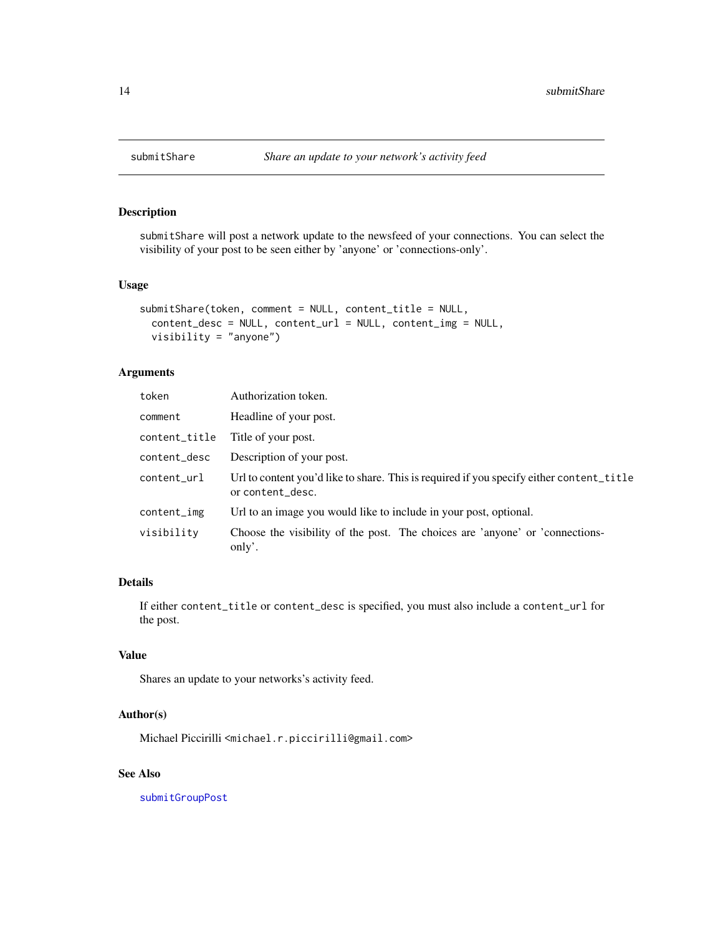<span id="page-13-1"></span><span id="page-13-0"></span>

# Description

submitShare will post a network update to the newsfeed of your connections. You can select the visibility of your post to be seen either by 'anyone' or 'connections-only'.

#### Usage

```
submitShare(token, comment = NULL, content_title = NULL,
  content_desc = NULL, content_url = NULL, content_img = NULL,
  visibility = "anyone")
```
# Arguments

| token         | Authorization token.                                                                                         |
|---------------|--------------------------------------------------------------------------------------------------------------|
| comment       | Headline of your post.                                                                                       |
| content_title | Title of your post.                                                                                          |
| content_desc  | Description of your post.                                                                                    |
| content_url   | Url to content you'd like to share. This is required if you specify either content_title<br>or content_desc. |
| content_img   | Url to an image you would like to include in your post, optional.                                            |
| visibility    | Choose the visibility of the post. The choices are 'anyone' or 'connections-<br>only'.                       |

# Details

If either content\_title or content\_desc is specified, you must also include a content\_url for the post.

# Value

Shares an update to your networks's activity feed.

# Author(s)

Michael Piccirilli <michael.r.piccirilli@gmail.com>

# See Also

[submitGroupPost](#page-11-1)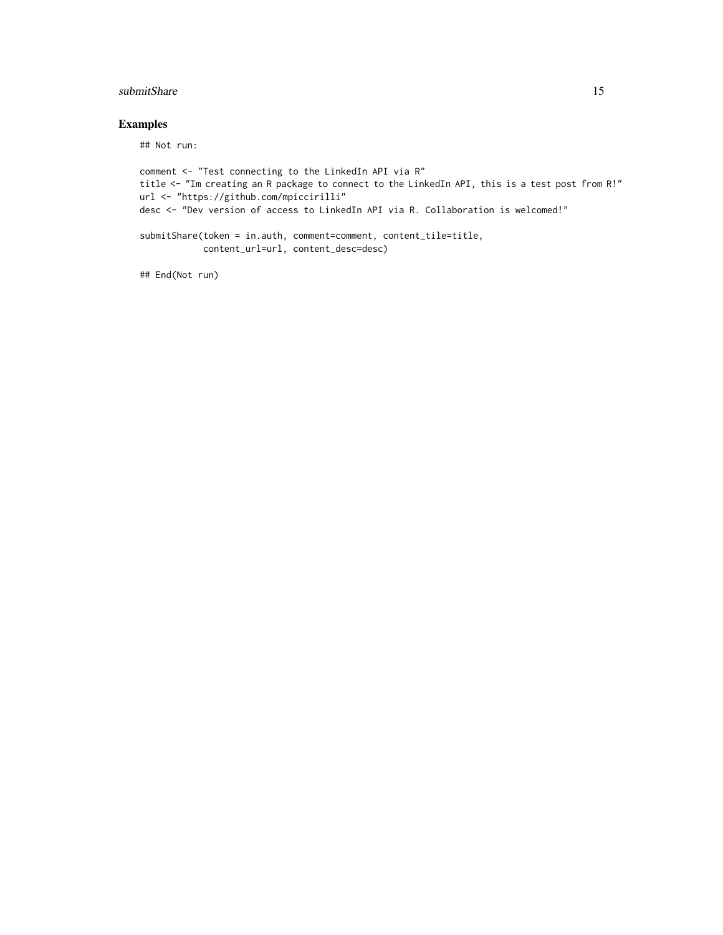# submitShare 15

# Examples

## Not run:

```
comment <- "Test connecting to the LinkedIn API via R"
title <- "Im creating an R package to connect to the LinkedIn API, this is a test post from R!"
url <- "https://github.com/mpiccirilli"
desc <- "Dev version of access to LinkedIn API via R. Collaboration is welcomed!"
submitShare(token = in.auth, comment=comment, content_tile=title,
            content_url=url, content_desc=desc)
```